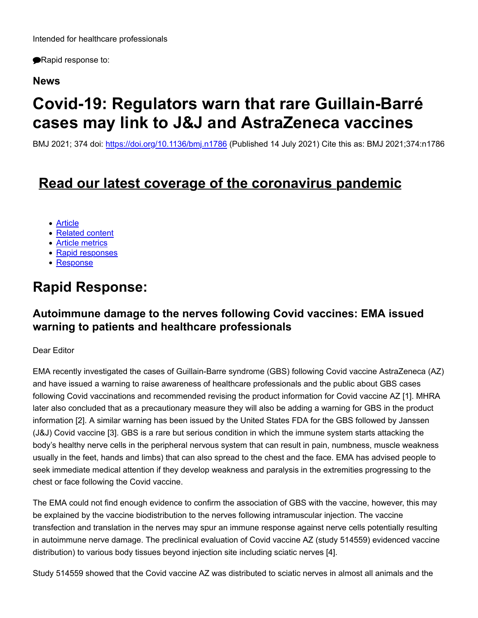Rapid response to:

### **News**

# **Covid-19: Regulators warn that rare Guillain-Barré cases may link to J&J and AstraZeneca vaccines**

BMJ 2021; 374 doi: https://doi.org/10.1136/bmj.n1786 (Published 14 July 2021) Cite this as: BMJ 2021;374:n1786

## **Read our latest coverage of the coronavirus pandemic**

- Article
- Related content
- Article metrics
- Rapid responses
- Response

## **Rapid Response:**

## **Autoimmune damage to the nerves following Covid vaccines: EMA issued warning to patients and healthcare professionals**

#### Dear Editor

EMA recently investigated the cases of Guillain-Barre syndrome (GBS) following Covid vaccine AstraZeneca (AZ) and have issued a warning to raise awareness of healthcare professionals and the public about GBS cases following Covid vaccinations and recommended revising the product information for Covid vaccine AZ [1]. MHRA later also concluded that as a precautionary measure they will also be adding a warning for GBS in the product information [2]. A similar warning has been issued by the United States FDA for the GBS followed by Janssen (J&J) Covid vaccine [3]. GBS is a rare but serious condition in which the immune system starts attacking the body's healthy nerve cells in the peripheral nervous system that can result in pain, numbness, muscle weakness usually in the feet, hands and limbs) that can also spread to the chest and the face. EMA has advised people to seek immediate medical attention if they develop weakness and paralysis in the extremities progressing to the chest or face following the Covid vaccine.

The EMA could not find enough evidence to confirm the association of GBS with the vaccine, however, this may be explained by the vaccine biodistribution to the nerves following intramuscular injection. The vaccine transfection and translation in the nerves may spur an immune response against nerve cells potentially resulting in autoimmune nerve damage. The preclinical evaluation of Covid vaccine AZ (study 514559) evidenced vaccine distribution) to various body tissues beyond injection site including sciatic nerves [4].

Study 514559 showed that the Covid vaccine AZ was distributed to sciatic nerves in almost all animals and the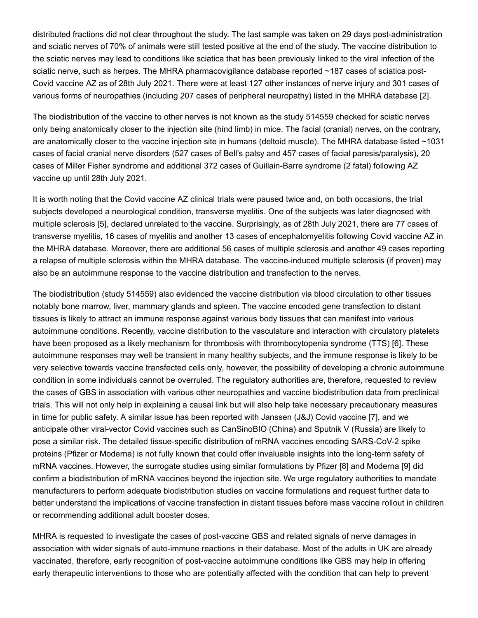distributed fractions did not clear throughout the study. The last sample was taken on 29 days post-administration and sciatic nerves of 70% of animals were still tested positive at the end of the study. The vaccine distribution to the sciatic nerves may lead to conditions like sciatica that has been previously linked to the viral infection of the sciatic nerve, such as herpes. The MHRA pharmacovigilance database reported ~187 cases of sciatica post-Covid vaccine AZ as of 28th July 2021. There were at least 127 other instances of nerve injury and 301 cases of various forms of neuropathies (including 207 cases of peripheral neuropathy) listed in the MHRA database [2].

The biodistribution of the vaccine to other nerves is not known as the study 514559 checked for sciatic nerves only being anatomically closer to the injection site (hind limb) in mice. The facial (cranial) nerves, on the contrary, are anatomically closer to the vaccine injection site in humans (deltoid muscle). The MHRA database listed ~1031 cases of facial cranial nerve disorders (527 cases of Bell's palsy and 457 cases of facial paresis/paralysis), 20 cases of Miller Fisher syndrome and additional 372 cases of Guillain-Barre syndrome (2 fatal) following AZ vaccine up until 28th July 2021.

It is worth noting that the Covid vaccine AZ clinical trials were paused twice and, on both occasions, the trial subjects developed a neurological condition, transverse myelitis. One of the subjects was later diagnosed with multiple sclerosis [5], declared unrelated to the vaccine. Surprisingly, as of 28th July 2021, there are 77 cases of transverse myelitis, 16 cases of myelitis and another 13 cases of encephalomyelitis following Covid vaccine AZ in the MHRA database. Moreover, there are additional 56 cases of multiple sclerosis and another 49 cases reporting a relapse of multiple sclerosis within the MHRA database. The vaccine-induced multiple sclerosis (if proven) may also be an autoimmune response to the vaccine distribution and transfection to the nerves.

The biodistribution (study 514559) also evidenced the vaccine distribution via blood circulation to other tissues notably bone marrow, liver, mammary glands and spleen. The vaccine encoded gene transfection to distant tissues is likely to attract an immune response against various body tissues that can manifest into various autoimmune conditions. Recently, vaccine distribution to the vasculature and interaction with circulatory platelets have been proposed as a likely mechanism for thrombosis with thrombocytopenia syndrome (TTS) [6]. These autoimmune responses may well be transient in many healthy subjects, and the immune response is likely to be very selective towards vaccine transfected cells only, however, the possibility of developing a chronic autoimmune condition in some individuals cannot be overruled. The regulatory authorities are, therefore, requested to review the cases of GBS in association with various other neuropathies and vaccine biodistribution data from preclinical trials. This will not only help in explaining a causal link but will also help take necessary precautionary measures in time for public safety. A similar issue has been reported with Janssen (J&J) Covid vaccine [7], and we anticipate other viral-vector Covid vaccines such as CanSinoBIO (China) and Sputnik V (Russia) are likely to pose a similar risk. The detailed tissue-specific distribution of mRNA vaccines encoding SARS-CoV-2 spike proteins (Pfizer or Moderna) is not fully known that could offer invaluable insights into the long-term safety of mRNA vaccines. However, the surrogate studies using similar formulations by Pfizer [8] and Moderna [9] did confirm a biodistribution of mRNA vaccines beyond the injection site. We urge regulatory authorities to mandate manufacturers to perform adequate biodistribution studies on vaccine formulations and request further data to better understand the implications of vaccine transfection in distant tissues before mass vaccine rollout in children or recommending additional adult booster doses.

MHRA is requested to investigate the cases of post-vaccine GBS and related signals of nerve damages in association with wider signals of auto-immune reactions in their database. Most of the adults in UK are already vaccinated, therefore, early recognition of post-vaccine autoimmune conditions like GBS may help in offering early therapeutic interventions to those who are potentially affected with the condition that can help to prevent